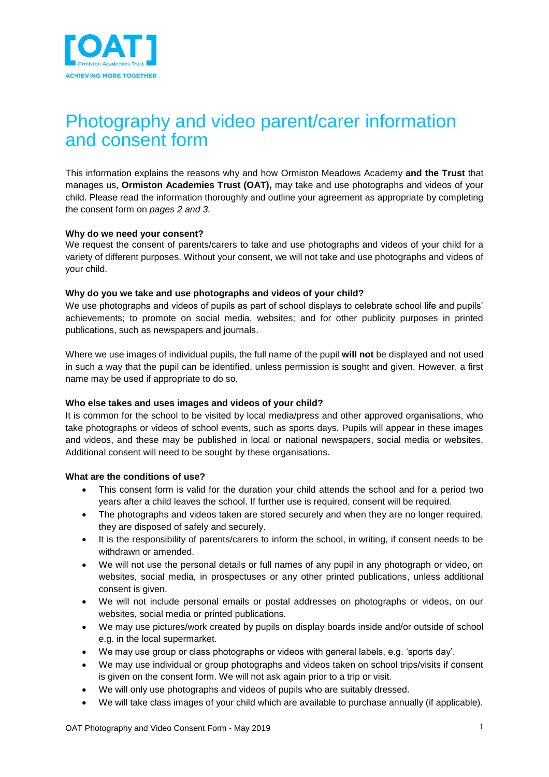

# Photography and video parent/carer information and consent form

This information explains the reasons why and how Ormiston Meadows Academy **and the Trust** that manages us, **Ormiston Academies Trust (OAT),** may take and use photographs and videos of your child. Please read the information thoroughly and outline your agreement as appropriate by completing the consent form on *pages 2 and 3.*

## **Why do we need your consent?**

We request the consent of parents/carers to take and use photographs and videos of your child for a variety of different purposes. Without your consent, we will not take and use photographs and videos of your child.

## **Why do you we take and use photographs and videos of your child?**

We use photographs and videos of pupils as part of school displays to celebrate school life and pupils' achievements; to promote on social media, websites; and for other publicity purposes in printed publications, such as newspapers and journals.

Where we use images of individual pupils, the full name of the pupil **will not** be displayed and not used in such a way that the pupil can be identified, unless permission is sought and given. However, a first name may be used if appropriate to do so.

## **Who else takes and uses images and videos of your child?**

It is common for the school to be visited by local media/press and other approved organisations, who take photographs or videos of school events, such as sports days. Pupils will appear in these images and videos, and these may be published in local or national newspapers, social media or websites. Additional consent will need to be sought by these organisations.

#### **What are the conditions of use?**

- This consent form is valid for the duration your child attends the school and for a period two years after a child leaves the school. If further use is required, consent will be required.
- The photographs and videos taken are stored securely and when they are no longer required, they are disposed of safely and securely.
- It is the responsibility of parents/carers to inform the school, in writing, if consent needs to be withdrawn or amended.
- We will not use the personal details or full names of any pupil in any photograph or video, on websites, social media, in prospectuses or any other printed publications, unless additional consent is given.
- We will not include personal emails or postal addresses on photographs or videos, on our websites, social media or printed publications.
- We may use pictures/work created by pupils on display boards inside and/or outside of school e.g. in the local supermarket.
- We may use group or class photographs or videos with general labels, e.g. 'sports day'.
- We may use individual or group photographs and videos taken on school trips/visits if consent is given on the consent form. We will not ask again prior to a trip or visit.
- We will only use photographs and videos of pupils who are suitably dressed.
- We will take class images of your child which are available to purchase annually (if applicable).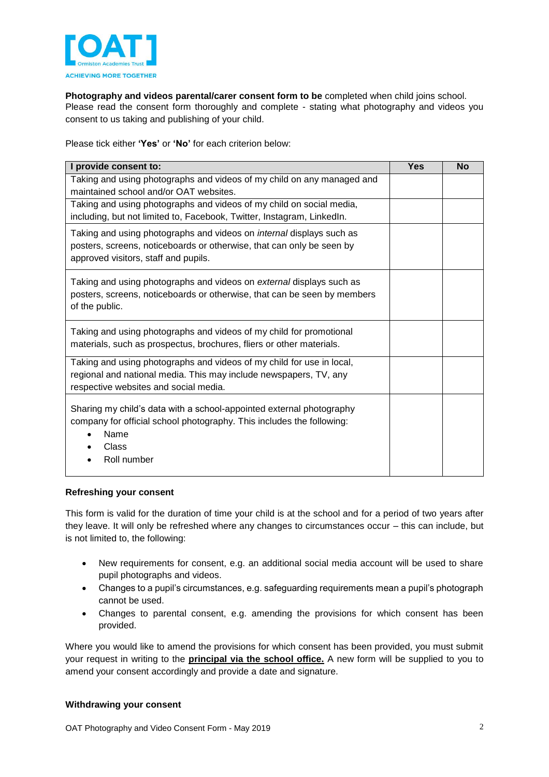

**Photography and videos parental/carer consent form to be** completed when child joins school. Please read the consent form thoroughly and complete - stating what photography and videos you consent to us taking and publishing of your child.

Please tick either **'Yes'** or **'No'** for each criterion below:

| I provide consent to:                                                                                                                                                                        | <b>Yes</b> | <b>No</b> |
|----------------------------------------------------------------------------------------------------------------------------------------------------------------------------------------------|------------|-----------|
| Taking and using photographs and videos of my child on any managed and<br>maintained school and/or OAT websites.                                                                             |            |           |
| Taking and using photographs and videos of my child on social media,<br>including, but not limited to, Facebook, Twitter, Instagram, LinkedIn.                                               |            |           |
| Taking and using photographs and videos on <i>internal</i> displays such as<br>posters, screens, noticeboards or otherwise, that can only be seen by<br>approved visitors, staff and pupils. |            |           |
| Taking and using photographs and videos on <i>external</i> displays such as<br>posters, screens, noticeboards or otherwise, that can be seen by members<br>of the public.                    |            |           |
| Taking and using photographs and videos of my child for promotional<br>materials, such as prospectus, brochures, fliers or other materials.                                                  |            |           |
| Taking and using photographs and videos of my child for use in local,<br>regional and national media. This may include newspapers, TV, any<br>respective websites and social media.          |            |           |
| Sharing my child's data with a school-appointed external photography<br>company for official school photography. This includes the following:<br>Name<br>Class<br>Roll number                |            |           |

## **Refreshing your consent**

This form is valid for the duration of time your child is at the school and for a period of two years after they leave. It will only be refreshed where any changes to circumstances occur – this can include, but is not limited to, the following:

- New requirements for consent, e.g. an additional social media account will be used to share pupil photographs and videos.
- Changes to a pupil's circumstances, e.g. safeguarding requirements mean a pupil's photograph cannot be used.
- Changes to parental consent, e.g. amending the provisions for which consent has been provided.

Where you would like to amend the provisions for which consent has been provided, you must submit your request in writing to the **principal via the school office.** A new form will be supplied to you to amend your consent accordingly and provide a date and signature.

#### **Withdrawing your consent**